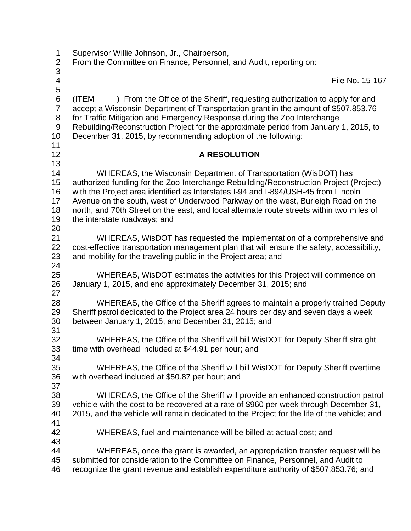| 1<br>$\overline{2}$                       | Supervisor Willie Johnson, Jr., Chairperson,<br>From the Committee on Finance, Personnel, and Audit, reporting on:                                                                                                                                                                                                                                                                                                                                                |
|-------------------------------------------|-------------------------------------------------------------------------------------------------------------------------------------------------------------------------------------------------------------------------------------------------------------------------------------------------------------------------------------------------------------------------------------------------------------------------------------------------------------------|
| 3<br>4<br>5                               | File No. 15-167                                                                                                                                                                                                                                                                                                                                                                                                                                                   |
| 6<br>$\overline{7}$<br>8<br>9<br>10<br>11 | ) From the Office of the Sheriff, requesting authorization to apply for and<br>(ITEM<br>accept a Wisconsin Department of Transportation grant in the amount of \$507,853.76<br>for Traffic Mitigation and Emergency Response during the Zoo Interchange<br>Rebuilding/Reconstruction Project for the approximate period from January 1, 2015, to<br>December 31, 2015, by recommending adoption of the following:                                                 |
| 12<br>13                                  | <b>A RESOLUTION</b>                                                                                                                                                                                                                                                                                                                                                                                                                                               |
| 14<br>15<br>16<br>17<br>18<br>19<br>20    | WHEREAS, the Wisconsin Department of Transportation (WisDOT) has<br>authorized funding for the Zoo Interchange Rebuilding/Reconstruction Project (Project)<br>with the Project area identified as Interstates I-94 and I-894/USH-45 from Lincoln<br>Avenue on the south, west of Underwood Parkway on the west, Burleigh Road on the<br>north, and 70th Street on the east, and local alternate route streets within two miles of<br>the interstate roadways; and |
| 21<br>22<br>23<br>24                      | WHEREAS, WisDOT has requested the implementation of a comprehensive and<br>cost-effective transportation management plan that will ensure the safety, accessibility,<br>and mobility for the traveling public in the Project area; and                                                                                                                                                                                                                            |
| 25<br>26<br>27                            | WHEREAS, WisDOT estimates the activities for this Project will commence on<br>January 1, 2015, and end approximately December 31, 2015; and                                                                                                                                                                                                                                                                                                                       |
| 28<br>29<br>30                            | WHEREAS, the Office of the Sheriff agrees to maintain a properly trained Deputy<br>Sheriff patrol dedicated to the Project area 24 hours per day and seven days a week<br>between January 1, 2015, and December 31, 2015; and                                                                                                                                                                                                                                     |
| 31<br>32<br>33<br>34                      | WHEREAS, the Office of the Sheriff will bill WisDOT for Deputy Sheriff straight<br>time with overhead included at \$44.91 per hour; and                                                                                                                                                                                                                                                                                                                           |
| 35<br>36<br>37                            | WHEREAS, the Office of the Sheriff will bill WisDOT for Deputy Sheriff overtime<br>with overhead included at \$50.87 per hour; and                                                                                                                                                                                                                                                                                                                                |
| 38<br>39<br>40<br>41                      | WHEREAS, the Office of the Sheriff will provide an enhanced construction patrol<br>vehicle with the cost to be recovered at a rate of \$960 per week through December 31,<br>2015, and the vehicle will remain dedicated to the Project for the life of the vehicle; and                                                                                                                                                                                          |
| 42<br>43                                  | WHEREAS, fuel and maintenance will be billed at actual cost; and                                                                                                                                                                                                                                                                                                                                                                                                  |
| 44<br>45<br>46                            | WHEREAS, once the grant is awarded, an appropriation transfer request will be<br>submitted for consideration to the Committee on Finance, Personnel, and Audit to<br>recognize the grant revenue and establish expenditure authority of \$507,853.76; and                                                                                                                                                                                                         |